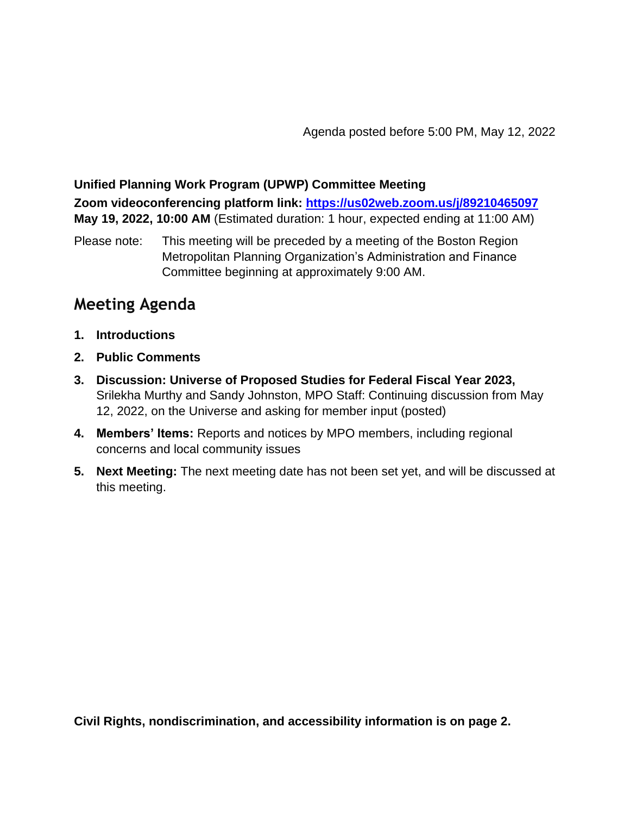## **Unified Planning Work Program (UPWP) Committee Meeting**

**Zoom videoconferencing platform link:<https://us02web.zoom.us/j/89210465097> May 19, 2022, 10:00 AM** (Estimated duration: 1 hour, expected ending at 11:00 AM)

Please note: This meeting will be preceded by a meeting of the Boston Region Metropolitan Planning Organization's Administration and Finance Committee beginning at approximately 9:00 AM.

## **Meeting Agenda**

- **1. Introductions**
- **2. Public Comments**
- **3. Discussion: Universe of Proposed Studies for Federal Fiscal Year 2023,** Srilekha Murthy and Sandy Johnston, MPO Staff: Continuing discussion from May 12, 2022, on the Universe and asking for member input (posted)
- **4. Members' Items:** Reports and notices by MPO members, including regional concerns and local community issues
- **5. Next Meeting:** The next meeting date has not been set yet, and will be discussed at this meeting.

**Civil Rights, nondiscrimination, and accessibility information is on page 2.**